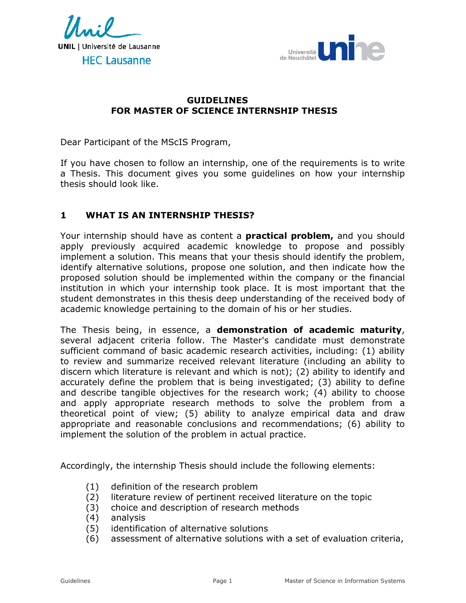



### **GUIDELINES FOR MASTER OF SCIENCE INTERNSHIP THESIS**

Dear Participant of the MScIS Program,

If you have chosen to follow an internship, one of the requirements is to write a Thesis. This document gives you some guidelines on how your internship thesis should look like.

### **1 WHAT IS AN INTERNSHIP THESIS?**

Your internship should have as content a **practical problem,** and you should apply previously acquired academic knowledge to propose and possibly implement a solution. This means that your thesis should identify the problem, identify alternative solutions, propose one solution, and then indicate how the proposed solution should be implemented within the company or the financial institution in which your internship took place. It is most important that the student demonstrates in this thesis deep understanding of the received body of academic knowledge pertaining to the domain of his or her studies.

The Thesis being, in essence, a **demonstration of academic maturity**, several adjacent criteria follow. The Master's candidate must demonstrate sufficient command of basic academic research activities, including: (1) ability to review and summarize received relevant literature (including an ability to discern which literature is relevant and which is not); (2) ability to identify and accurately define the problem that is being investigated; (3) ability to define and describe tangible objectives for the research work; (4) ability to choose and apply appropriate research methods to solve the problem from a theoretical point of view; (5) ability to analyze empirical data and draw appropriate and reasonable conclusions and recommendations; (6) ability to implement the solution of the problem in actual practice.

Accordingly, the internship Thesis should include the following elements:

- (1) definition of the research problem
- (2) literature review of pertinent received literature on the topic
- (3) choice and description of research methods
- (4) analysis
- (5) identification of alternative solutions
- (6) assessment of alternative solutions with a set of evaluation criteria,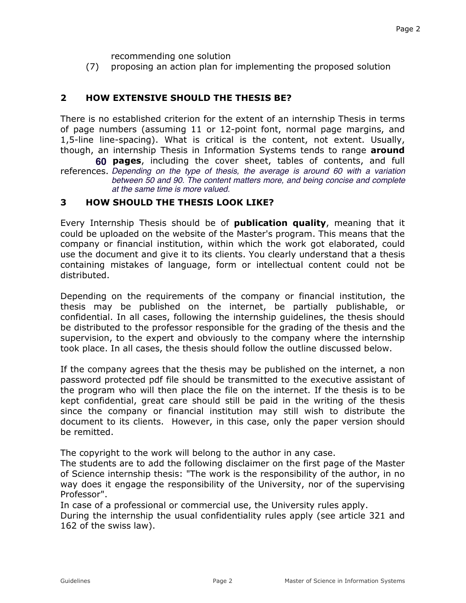recommending one solution

(7) proposing an action plan for implementing the proposed solution

## **2 HOW EXTENSIVE SHOULD THE THESIS BE?**

There is no established criterion for the extent of an internship Thesis in terms of page numbers (assuming 11 or 12-point font, normal page margins, and 1,5-line line-spacing). What is critical is the content, not extent. Usually, though, an internship Thesis in Information Systems tends to range **around** 

**60 pages**, including the cover sheet, tables of contents, and full references. *Depending on the type of thesis, the average is around 60 with a variation between 50 and 90. The content matters more, and being concise and complete at the same time is more valued.*

#### **3 HOW SHOULD THE THESIS LOOK LIKE?**

Every Internship Thesis should be of **publication quality**, meaning that it could be uploaded on the website of the Master's program. This means that the company or financial institution, within which the work got elaborated, could use the document and give it to its clients. You clearly understand that a thesis containing mistakes of language, form or intellectual content could not be distributed.

Depending on the requirements of the company or financial institution, the thesis may be published on the internet, be partially publishable, or confidential. In all cases, following the internship guidelines, the thesis should be distributed to the professor responsible for the grading of the thesis and the supervision, to the expert and obviously to the company where the internship took place. In all cases, the thesis should follow the outline discussed below.

If the company agrees that the thesis may be published on the internet, a non password protected pdf file should be transmitted to the executive assistant of the program who will then place the file on the internet. If the thesis is to be kept confidential, great care should still be paid in the writing of the thesis since the company or financial institution may still wish to distribute the document to its clients. However, in this case, only the paper version should be remitted.

The copyright to the work will belong to the author in any case.

The students are to add the following disclaimer on the first page of the Master of Science internship thesis: "The work is the responsibility of the author, in no way does it engage the responsibility of the University, nor of the supervising Professor".

In case of a professional or commercial use, the University rules apply.

During the internship the usual confidentiality rules apply (see article 321 and 162 of the swiss law).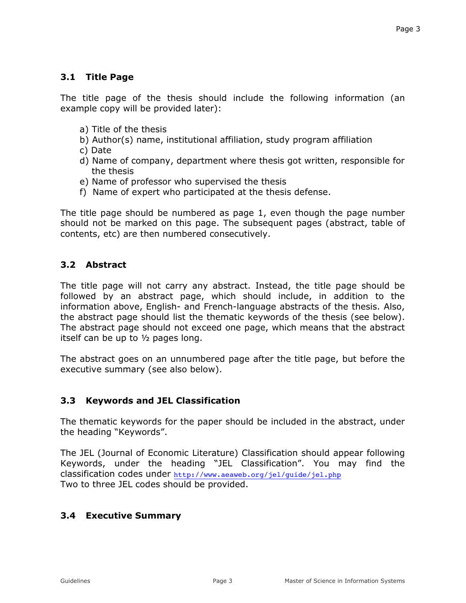## **3.1 Title Page**

The title page of the thesis should include the following information (an example copy will be provided later):

- a) Title of the thesis
- b) Author(s) name, institutional affiliation, study program affiliation
- c) Date
- d) Name of company, department where thesis got written, responsible for the thesis
- e) Name of professor who supervised the thesis
- f) Name of expert who participated at the thesis defense.

The title page should be numbered as page 1, even though the page number should not be marked on this page. The subsequent pages (abstract, table of contents, etc) are then numbered consecutively.

## **3.2 Abstract**

The title page will not carry any abstract. Instead, the title page should be followed by an abstract page, which should include, in addition to the information above, English- and French-language abstracts of the thesis. Also, the abstract page should list the thematic keywords of the thesis (see below). The abstract page should not exceed one page, which means that the abstract itself can be up to  $\frac{1}{2}$  pages long.

The abstract goes on an unnumbered page after the title page, but before the executive summary (see also below).

## **3.3 Keywords and JEL Classification**

The thematic keywords for the paper should be included in the abstract, under the heading "Keywords".

The JEL (Journal of Economic Literature) Classification should appear following Keywords, under the heading "JEL Classification". You may find the classification codes under http://www.aeaweb.org/jel/guide/jel.php Two to three JEL codes should be provided.

## **3.4 Executive Summary**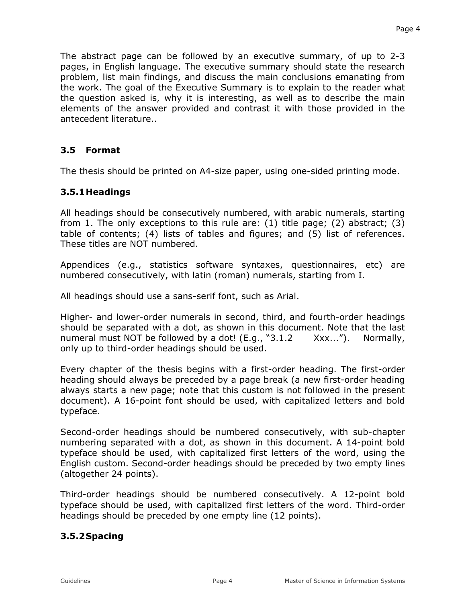The abstract page can be followed by an executive summary, of up to 2-3 pages, in English language. The executive summary should state the research problem, list main findings, and discuss the main conclusions emanating from the work. The goal of the Executive Summary is to explain to the reader what the question asked is, why it is interesting, as well as to describe the main elements of the answer provided and contrast it with those provided in the antecedent literature..

### **3.5 Format**

The thesis should be printed on A4-size paper, using one-sided printing mode.

### **3.5.1 Headings**

All headings should be consecutively numbered, with arabic numerals, starting from 1. The only exceptions to this rule are: (1) title page; (2) abstract; (3) table of contents; (4) lists of tables and figures; and (5) list of references. These titles are NOT numbered.

Appendices (e.g., statistics software syntaxes, questionnaires, etc) are numbered consecutively, with latin (roman) numerals, starting from I.

All headings should use a sans-serif font, such as Arial.

Higher- and lower-order numerals in second, third, and fourth-order headings should be separated with a dot, as shown in this document. Note that the last numeral must NOT be followed by a dot! (E.g., "3.1.2 Xxx..."). Normally, only up to third-order headings should be used.

Every chapter of the thesis begins with a first-order heading. The first-order heading should always be preceded by a page break (a new first-order heading always starts a new page; note that this custom is not followed in the present document). A 16-point font should be used, with capitalized letters and bold typeface.

Second-order headings should be numbered consecutively, with sub-chapter numbering separated with a dot, as shown in this document. A 14-point bold typeface should be used, with capitalized first letters of the word, using the English custom. Second-order headings should be preceded by two empty lines (altogether 24 points).

Third-order headings should be numbered consecutively. A 12-point bold typeface should be used, with capitalized first letters of the word. Third-order headings should be preceded by one empty line (12 points).

#### **3.5.2 Spacing**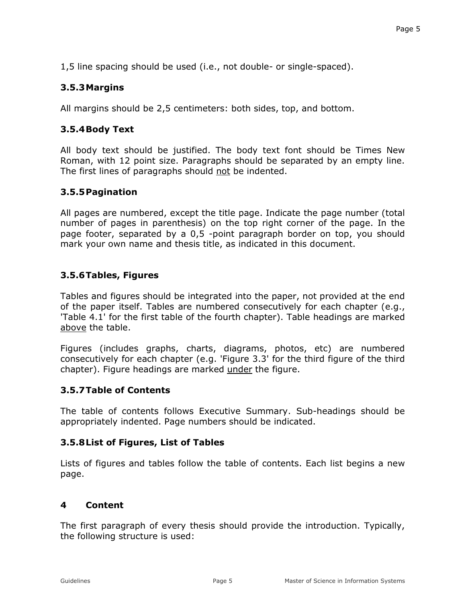1,5 line spacing should be used (i.e., not double- or single-spaced).

# **3.5.3 Margins**

All margins should be 2,5 centimeters: both sides, top, and bottom.

# **3.5.4 Body Text**

All body text should be justified. The body text font should be Times New Roman, with 12 point size. Paragraphs should be separated by an empty line. The first lines of paragraphs should not be indented.

# **3.5.5 Pagination**

All pages are numbered, except the title page. Indicate the page number (total number of pages in parenthesis) on the top right corner of the page. In the page footer, separated by a 0,5 -point paragraph border on top, you should mark your own name and thesis title, as indicated in this document.

# **3.5.6 Tables, Figures**

Tables and figures should be integrated into the paper, not provided at the end of the paper itself. Tables are numbered consecutively for each chapter (e.g., 'Table 4.1' for the first table of the fourth chapter). Table headings are marked above the table.

Figures (includes graphs, charts, diagrams, photos, etc) are numbered consecutively for each chapter (e.g. 'Figure 3.3' for the third figure of the third chapter). Figure headings are marked under the figure.

## **3.5.7 Table of Contents**

The table of contents follows Executive Summary. Sub-headings should be appropriately indented. Page numbers should be indicated.

## **3.5.8 List of Figures, List of Tables**

Lists of figures and tables follow the table of contents. Each list begins a new page.

## **4 Content**

The first paragraph of every thesis should provide the introduction. Typically, the following structure is used: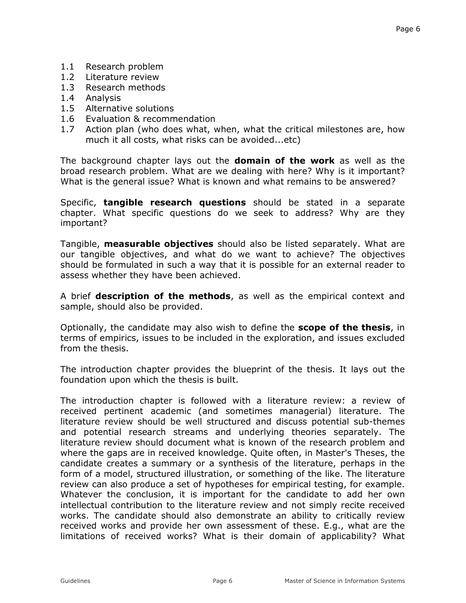- 1.1 Research problem
- 1.2 Literature review
- 1.3 Research methods
- 1.4 Analysis
- 1.5 Alternative solutions
- 1.6 Evaluation & recommendation
- 1.7 Action plan (who does what, when, what the critical milestones are, how much it all costs, what risks can be avoided...etc)

The background chapter lays out the **domain of the work** as well as the broad research problem. What are we dealing with here? Why is it important? What is the general issue? What is known and what remains to be answered?

Specific, **tangible research questions** should be stated in a separate chapter. What specific questions do we seek to address? Why are they important?

Tangible, **measurable objectives** should also be listed separately. What are our tangible objectives, and what do we want to achieve? The objectives should be formulated in such a way that it is possible for an external reader to assess whether they have been achieved.

A brief **description of the methods**, as well as the empirical context and sample, should also be provided.

Optionally, the candidate may also wish to define the **scope of the thesis**, in terms of empirics, issues to be included in the exploration, and issues excluded from the thesis.

The introduction chapter provides the blueprint of the thesis. It lays out the foundation upon which the thesis is built.

The introduction chapter is followed with a literature review: a review of received pertinent academic (and sometimes managerial) literature. The literature review should be well structured and discuss potential sub-themes and potential research streams and underlying theories separately. The literature review should document what is known of the research problem and where the gaps are in received knowledge. Quite often, in Master's Theses, the candidate creates a summary or a synthesis of the literature, perhaps in the form of a model, structured illustration, or something of the like. The literature review can also produce a set of hypotheses for empirical testing, for example. Whatever the conclusion, it is important for the candidate to add her own intellectual contribution to the literature review and not simply recite received works. The candidate should also demonstrate an ability to critically review received works and provide her own assessment of these. E.g., what are the limitations of received works? What is their domain of applicability? What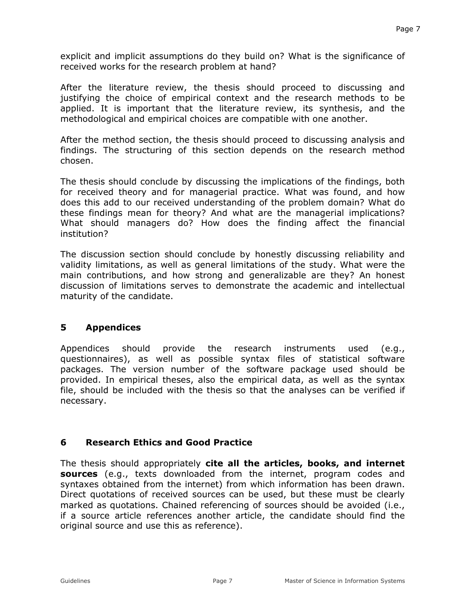explicit and implicit assumptions do they build on? What is the significance of received works for the research problem at hand?

After the literature review, the thesis should proceed to discussing and justifying the choice of empirical context and the research methods to be applied. It is important that the literature review, its synthesis, and the methodological and empirical choices are compatible with one another.

After the method section, the thesis should proceed to discussing analysis and findings. The structuring of this section depends on the research method chosen.

The thesis should conclude by discussing the implications of the findings, both for received theory and for managerial practice. What was found, and how does this add to our received understanding of the problem domain? What do these findings mean for theory? And what are the managerial implications? What should managers do? How does the finding affect the financial institution?

The discussion section should conclude by honestly discussing reliability and validity limitations, as well as general limitations of the study. What were the main contributions, and how strong and generalizable are they? An honest discussion of limitations serves to demonstrate the academic and intellectual maturity of the candidate.

#### **5 Appendices**

Appendices should provide the research instruments used (e.g., questionnaires), as well as possible syntax files of statistical software packages. The version number of the software package used should be provided. In empirical theses, also the empirical data, as well as the syntax file, should be included with the thesis so that the analyses can be verified if necessary.

## **6 Research Ethics and Good Practice**

The thesis should appropriately **cite all the articles, books, and internet sources** (e.g., texts downloaded from the internet, program codes and syntaxes obtained from the internet) from which information has been drawn. Direct quotations of received sources can be used, but these must be clearly marked as quotations. Chained referencing of sources should be avoided (i.e., if a source article references another article, the candidate should find the original source and use this as reference).